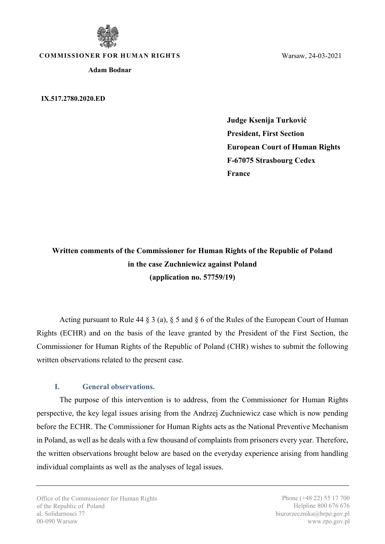

**COMMISSIONER FOR HUMAN RIGHTS**

**Adam Bodnar**

**IX.517.2780.2020.ED**

Warsaw, 24-03-2021

**Judge Ksenija Turković President, First Section European Court of Human Rights F-67075 Strasbourg Cedex France**

**Written comments of the Commissioner for Human Rights of the Republic of Poland in the case Zuchniewicz against Poland (application no. 57759/19)**

Acting pursuant to Rule 44 § 3 (a), § 5 and § 6 of the Rules of the European Court of Human Rights (ECHR) and on the basis of the leave granted by the President of the First Section, the Commissioner for Human Rights of the Republic of Poland (CHR) wishes to submit the following written observations related to the present case.

## **I. General observations.**

The purpose of this intervention is to address, from the Commissioner for Human Rights perspective, the key legal issues arising from the Andrzej Zuchniewicz case which is now pending before the ECHR. The Commissioner for Human Rights acts as the National Preventive Mechanism in Poland, as well as he deals with a few thousand of complaints from prisoners every year. Therefore, the written observations brought below are based on the everyday experience arising from handling individual complaints as well as the analyses of legal issues.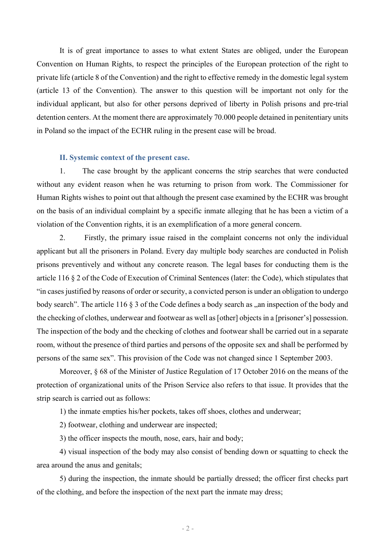It is of great importance to asses to what extent States are obliged, under the European Convention on Human Rights, to respect the principles of the European protection of the right to private life (article 8 of the Convention) and the right to effective remedy in the domestic legal system (article 13 of the Convention). The answer to this question will be important not only for the individual applicant, but also for other persons deprived of liberty in Polish prisons and pre-trial detention centers. At the moment there are approximately 70.000 people detained in penitentiary units in Poland so the impact of the ECHR ruling in the present case will be broad.

## **II. Systemic context of the present case.**

1. The case brought by the applicant concerns the strip searches that were conducted without any evident reason when he was returning to prison from work. The Commissioner for Human Rights wishes to point out that although the present case examined by the ECHR was brought on the basis of an individual complaint by a specific inmate alleging that he has been a victim of a violation of the Convention rights, it is an exemplification of a more general concern.

2. Firstly, the primary issue raised in the complaint concerns not only the individual applicant but all the prisoners in Poland. Every day multiple body searches are conducted in Polish prisons preventively and without any concrete reason. The legal bases for conducting them is the article 116 § 2 of the Code of Execution of Criminal Sentences (later: the Code), which stipulates that "in cases justified by reasons of order or security, a convicted person is under an obligation to undergo body search". The article 116  $\S$  3 of the Code defines a body search as  $\alpha$ , an inspection of the body and the checking of clothes, underwear and footwear as well as [other] objects in a [prisoner's] possession. The inspection of the body and the checking of clothes and footwear shall be carried out in a separate room, without the presence of third parties and persons of the opposite sex and shall be performed by persons of the same sex". This provision of the Code was not changed since 1 September 2003.

Moreover, § 68 of the Minister of Justice Regulation of 17 October 2016 on the means of the protection of organizational units of the Prison Service also refers to that issue. It provides that the strip search is carried out as follows:

1) the inmate empties his/her pockets, takes off shoes, clothes and underwear;

2) footwear, clothing and underwear are inspected;

3) the officer inspects the mouth, nose, ears, hair and body;

4) visual inspection of the body may also consist of bending down or squatting to check the area around the anus and genitals;

5) during the inspection, the inmate should be partially dressed; the officer first checks part of the clothing, and before the inspection of the next part the inmate may dress;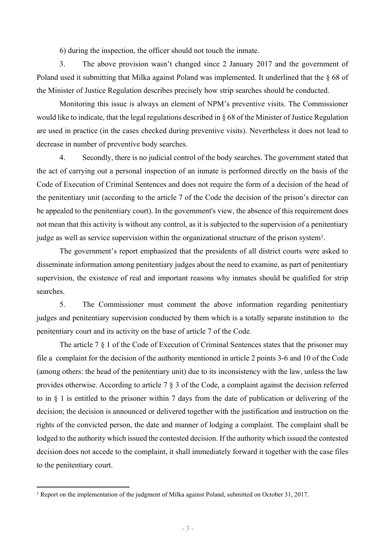6) during the inspection, the officer should not touch the inmate.

3. The above provision wasn't changed since 2 January 2017 and the government of Poland used it submitting that Milka against Poland was implemented. It underlined that the § 68 of the Minister of Justice Regulation describes precisely how strip searches should be conducted.

Monitoring this issue is always an element of NPM's preventive visits. The Commissioner would like to indicate, that the legal regulations described in § 68 of the Minister of Justice Regulation are used in practice (in the cases checked during preventive visits). Nevertheless it does not lead to decrease in number of preventive body searches.

4. Secondly, there is no judicial control of the body searches. The government stated that the act of carrying out a personal inspection of an inmate is performed directly on the basis of the Code of Execution of Criminal Sentences and does not require the form of a decision of the head of the penitentiary unit (according to the article 7 of the Code the decision of the prison's director can be appealed to the penitentiary court). In the government's view, the absence of this requirement does not mean that this activity is without any control, as it is subjected to the supervision of a penitentiary judge as well as service supervision within the organizational structure of the prison system<sup>1</sup>.

The government's report emphasized that the presidents of all district courts were asked to disseminate information among penitentiary judges about the need to examine, as part of penitentiary supervision, the existence of real and important reasons why inmates should be qualified for strip searches.

5. The Commissioner must comment the above information regarding penitentiary judges and penitentiary supervision conducted by them which is a totally separate institution to the penitentiary court and its activity on the base of article 7 of the Code.

The article 7 § 1 of the Code of Execution of Criminal Sentences states that the prisoner may file a complaint for the decision of the authority mentioned in article 2 points 3-6 and 10 of the Code (among others: the head of the penitentiary unit) due to its inconsistency with the law, unless the law provides otherwise. According to article 7 § 3 of the Code, a complaint against the decision referred to in § 1 is entitled to the prisoner within 7 days from the date of publication or delivering of the decision; the decision is announced or delivered together with the justification and instruction on the rights of the convicted person, the date and manner of lodging a complaint. The complaint shall be lodged to the authority which issued the contested decision. If the authority which issued the contested decision does not accede to the complaint, it shall immediately forward it together with the case files to the penitentiary court.

<sup>1</sup> Report on the implementation of the judgment of Milka against Poland, submitted on October 31, 2017.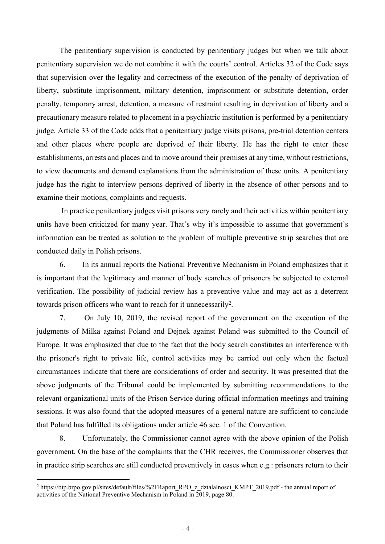The penitentiary supervision is conducted by penitentiary judges but when we talk about penitentiary supervision we do not combine it with the courts' control. Articles 32 of the Code says that supervision over the legality and correctness of the execution of the penalty of deprivation of liberty, substitute imprisonment, military detention, imprisonment or substitute detention, order penalty, temporary arrest, detention, a measure of restraint resulting in deprivation of liberty and a precautionary measure related to placement in a psychiatric institution is performed by a penitentiary judge. Article 33 of the Code adds that a penitentiary judge visits prisons, pre-trial detention centers and other places where people are deprived of their liberty. He has the right to enter these establishments, arrests and places and to move around their premises at any time, without restrictions, to view documents and demand explanations from the administration of these units. A penitentiary judge has the right to interview persons deprived of liberty in the absence of other persons and to examine their motions, complaints and requests.

In practice penitentiary judges visit prisons very rarely and their activities within penitentiary units have been criticized for many year. That's why it's impossible to assume that government's information can be treated as solution to the problem of multiple preventive strip searches that are conducted daily in Polish prisons.

6. In its annual reports the National Preventive Mechanism in Poland emphasizes that it is important that the legitimacy and manner of body searches of prisoners be subjected to external verification. The possibility of judicial review has a preventive value and may act as a deterrent towards prison officers who want to reach for it unnecessarily<sup>2</sup>.

7. On July 10, 2019, the revised report of the government on the execution of the judgments of Milka against Poland and Dejnek against Poland was submitted to the Council of Europe. It was emphasized that due to the fact that the body search constitutes an interference with the prisoner's right to private life, control activities may be carried out only when the factual circumstances indicate that there are considerations of order and security. It was presented that the above judgments of the Tribunal could be implemented by submitting recommendations to the relevant organizational units of the Prison Service during official information meetings and training sessions. It was also found that the adopted measures of a general nature are sufficient to conclude that Poland has fulfilled its obligations under article 46 sec. 1 of the Convention.

8. Unfortunately, the Commissioner cannot agree with the above opinion of the Polish government. On the base of the complaints that the CHR receives, the Commissioner observes that in practice strip searches are still conducted preventively in cases when e.g.: prisoners return to their

<sup>&</sup>lt;sup>2</sup> [https://bip.brpo.gov.pl/sites/default/files/%2FRaport\\_RPO\\_z\\_dzialalnosci\\_KMPT\\_2019.pdf](https://bip.brpo.gov.pl/sites/default/files//Raport_RPO_z_dzialalnosci_KMPT_2019.pdf) - the annual report of activities of the National Preventive Mechanism in Poland in 2019, page 80.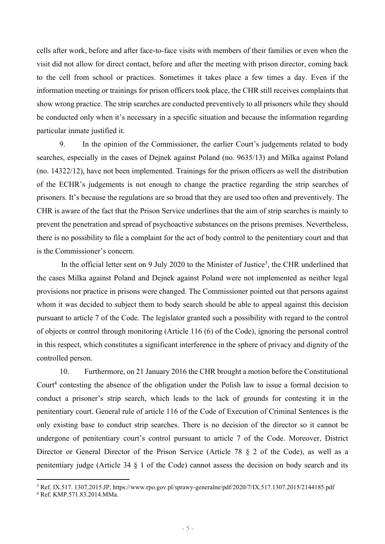cells after work, before and after face-to-face visits with members of their families or even when the visit did not allow for direct contact, before and after the meeting with prison director, coming back to the cell from school or practices. Sometimes it takes place a few times a day. Even if the information meeting or trainings for prison officers took place, the CHR still receives complaints that show wrong practice. The strip searches are conducted preventively to all prisoners while they should be conducted only when it's necessary in a specific situation and because the information regarding particular inmate justified it.

9. In the opinion of the Commissioner, the earlier Court's judgements related to body searches, especially in the cases of Dejnek against Poland (no. 9635/13) and Milka against Poland (no. 14322/12), have not been implemented. Trainings for the prison officers as well the distribution of the ECHR's judgements is not enough to change the practice regarding the strip searches of prisoners. It's because the regulations are so broad that they are used too often and preventively. The CHR is aware of the fact that the Prison Service underlines that the aim of strip searches is mainly to prevent the penetration and spread of psychoactive substances on the prisons premises. Nevertheless, there is no possibility to file a complaint for the act of body control to the penitentiary court and that is the Commissioner's concern.

In the official letter sent on 9 July 2020 to the Minister of Justice<sup>3</sup>, the CHR underlined that the cases Milka against Poland and Dejnek against Poland were not implemented as neither legal provisions nor practice in prisons were changed. The Commissioner pointed out that persons against whom it was decided to subject them to body search should be able to appeal against this decision pursuant to article 7 of the Code. The legislator granted such a possibility with regard to the control of objects or control through monitoring (Article 116 (6) of the Code), ignoring the personal control in this respect, which constitutes a significant interference in the sphere of privacy and dignity of the controlled person.

10. Furthermore, on 21 January 2016 the CHR brought a motion before the Constitutional Court<sup>4</sup> contesting the absence of the obligation under the Polish law to issue a formal decision to conduct a prisoner's strip search, which leads to the lack of grounds for contesting it in the penitentiary court. General rule of article 116 of the Code of Execution of Criminal Sentences is the only existing base to conduct strip searches. There is no decision of the director so it cannot be undergone of penitentiary court's control pursuant to article 7 of the Code. Moreover, District Director or General Director of the Prison Service (Article 78 § 2 of the Code), as well as a penitentiary judge (Article 34 § 1 of the Code) cannot assess the decision on body search and its

<sup>3</sup> Ref. IX.517. 1307.2015.JP, https://www.rpo.gov.pl/sprawy-generalne/pdf/2020/7/IX.517.1307.2015/2144185.pdf

<sup>4</sup> Ref. KMP.571.83.2014.MMa.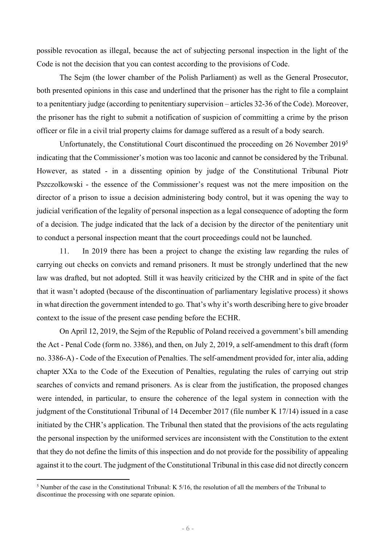possible revocation as illegal, because the act of subjecting personal inspection in the light of the Code is not the decision that you can contest according to the provisions of Code.

The Sejm (the lower chamber of the Polish Parliament) as well as the General Prosecutor, both presented opinions in this case and underlined that the prisoner has the right to file a complaint to a penitentiary judge (according to penitentiary supervision – articles 32-36 of the Code). Moreover, the prisoner has the right to submit a notification of suspicion of committing a crime by the prison officer or file in a civil trial property claims for damage suffered as a result of a body search.

Unfortunately, the Constitutional Court discontinued the proceeding on 26 November 2019<sup>5</sup> indicating that the Commissioner's motion was too laconic and cannot be considered by the Tribunal. However, as stated - in a dissenting opinion by judge of the Constitutional Tribunal Piotr Pszczolkowski - the essence of the Commissioner's request was not the mere imposition on the director of a prison to issue a decision administering body control, but it was opening the way to judicial verification of the legality of personal inspection as a legal consequence of adopting the form of a decision. The judge indicated that the lack of a decision by the director of the penitentiary unit to conduct a personal inspection meant that the court proceedings could not be launched.

11. In 2019 there has been a project to change the existing law regarding the rules of carrying out checks on convicts and remand prisoners. It must be strongly underlined that the new law was drafted, but not adopted. Still it was heavily criticized by the CHR and in spite of the fact that it wasn't adopted (because of the discontinuation of parliamentary legislative process) it shows in what direction the government intended to go. That's why it's worth describing here to give broader context to the issue of the present case pending before the ECHR.

On April 12, 2019, the Sejm of the Republic of Poland received a government's bill amending the Act - Penal Code (form no. 3386), and then, on July 2, 2019, a self-amendment to this draft (form no. 3386-A) - Code of the Execution of Penalties. The self-amendment provided for, inter alia, adding chapter XXa to the Code of the Execution of Penalties, regulating the rules of carrying out strip searches of convicts and remand prisoners. As is clear from the justification, the proposed changes were intended, in particular, to ensure the coherence of the legal system in connection with the judgment of the Constitutional Tribunal of 14 December 2017 (file number K 17/14) issued in a case initiated by the CHR's application. The Tribunal then stated that the provisions of the acts regulating the personal inspection by the uniformed services are inconsistent with the Constitution to the extent that they do not define the limits of this inspection and do not provide for the possibility of appealing against it to the court. The judgment of the Constitutional Tribunal in this case did not directly concern

<sup>5</sup> Number of the case in the Constitutional Tribunal: K 5/16, the resolution of all the members of the Tribunal to discontinue the processing with one separate opinion.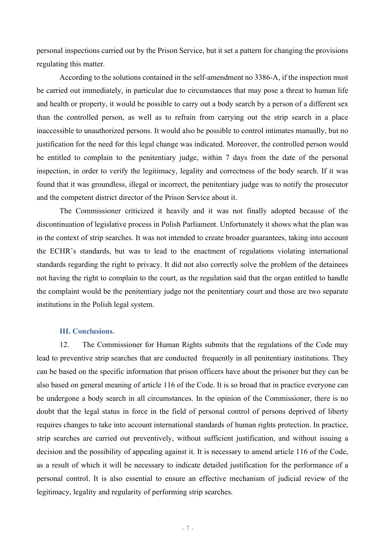personal inspections carried out by the Prison Service, but it set a pattern for changing the provisions regulating this matter.

According to the solutions contained in the self-amendment no 3386-A, if the inspection must be carried out immediately, in particular due to circumstances that may pose a threat to human life and health or property, it would be possible to carry out a body search by a person of a different sex than the controlled person, as well as to refrain from carrying out the strip search in a place inaccessible to unauthorized persons. It would also be possible to control intimates manually, but no justification for the need for this legal change was indicated. Moreover, the controlled person would be entitled to complain to the penitentiary judge, within 7 days from the date of the personal inspection, in order to verify the legitimacy, legality and correctness of the body search. If it was found that it was groundless, illegal or incorrect, the penitentiary judge was to notify the prosecutor and the competent district director of the Prison Service about it.

The Commissioner criticized it heavily and it was not finally adopted because of the discontinuation of legislative process in Polish Parliament. Unfortunately it shows what the plan was in the context of strip searches. It was not intended to create broader guarantees, taking into account the ECHR's standards, but was to lead to the enactment of regulations violating international standards regarding the right to privacy. It did not also correctly solve the problem of the detainees not having the right to complain to the court, as the regulation said that the organ entitled to handle the complaint would be the penitentiary judge not the penitentiary court and those are two separate institutions in the Polish legal system.

## **III. Conclusions.**

12. The Commissioner for Human Rights submits that the regulations of the Code may lead to preventive strip searches that are conducted frequently in all penitentiary institutions. They can be based on the specific information that prison officers have about the prisoner but they can be also based on general meaning of article 116 of the Code. It is so broad that in practice everyone can be undergone a body search in all circumstances. In the opinion of the Commissioner, there is no doubt that the legal status in force in the field of personal control of persons deprived of liberty requires changes to take into account international standards of human rights protection. In practice, strip searches are carried out preventively, without sufficient justification, and without issuing a decision and the possibility of appealing against it. It is necessary to amend article 116 of the Code, as a result of which it will be necessary to indicate detailed justification for the performance of a personal control. It is also essential to ensure an effective mechanism of judicial review of the legitimacy, legality and regularity of performing strip searches.